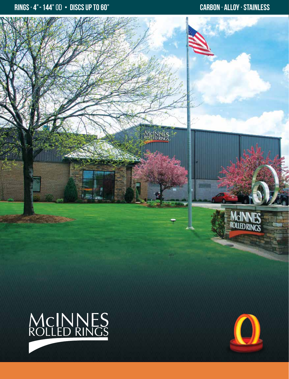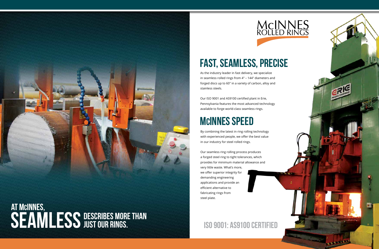## FAST, seamless, precise

ISO 9001: AS9100 Certified

## MCINNES

As the industry leader in fast delivery, we specialize in seamless rolled rings from 4″ – 144″ diameters and forged discs up to 60″ in a variety of carbon, alloy and stainless steels.

Our ISO 9001 and AS9100 certified plant in Erie, Pennsylvania features the most advanced technology available to forge world-class seamless rings.





## MCINNES SPEED

By combining the latest in ring rolling technology with experienced people, we offer the best value in our industry for steel rolled rings.

Our seamless ring rolling process produces a forged steel ring to tight tolerances, which provides for minimum material allowance and very little waste. What's more, we offer superior integrity for demanding engineering applications and provide an efficient alternative to fabricating rings from steel plate.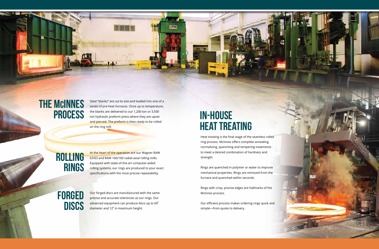## **IN-HOUSE** HEAT TREATING

Heat treating is the final stage of the seamless rolled ring process. McInnes offers complete annealing, normalizing, quenching and tempering treatments to meet a desired combination of hardness and strength.

Rings are quenched in polymer or water to improve mechanical properties. Rings are removed from the furnace and quenched within seconds.

At the heart of the operation are our Wagner RAW 63/63 and RAW 160/160 radial-axial rolling mills. Equipped with state-of-the-art computer-aided rolling systems, our rings are produced to your exact specifications with the most precise repeatability.

## **FORGED DISCS**

Rings with crisp, precise edges are hallmarks of the McInnes process.

Our efficient process makes ordering rings quick and simple—from quote to delivery.



## ROLLING RINGS

Our forged discs are manufactured with the same precise and accurate tolerences as our rings. Our advanced equipment can produce discs up to 60" diameter and 12" in maximum height.

# THE MCINNES<br>PROCESS

Steel "blanks" are cut to size and loaded into one of a series of pre-heat furnaces. Once up to temperature, the blanks are delivered to our 1,200 ton or 3,500 ton hydraulic preform press where they are upset and pierced. The preform is then ready to be rolled on the ring mill.

<u>i se</u>

ERIC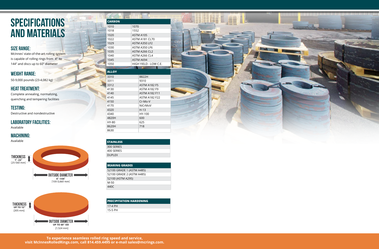McInnes' state-of-the-art rolling system is capable of rolling rings from 4" to 144" and discs up to 60" diameter



#### Size Range:

Destructive and nondestructive

#### Testing:

Available

#### MACHINING:

#### Laboratory Facilities:

## **SPECIFICATIONS** AND MATERIALS

Available



50-9,000 pounds (23-4,082 kg)

#### Weight Range:

Complete annealing, normalizing, quenching and tempering facilities

### Heat Treatment:



| <b>CARBON</b> |           |                       |
|---------------|-----------|-----------------------|
| 1010          | 1070      |                       |
| 1018          | 1552      |                       |
| 1020          | ASTM A105 |                       |
| 1022          |           | ASTM A181 CL70        |
| 1029          |           | ASTM A350 LF2         |
| 1030          |           | ASTM A350 LF6         |
| 1035          |           | ASTM A266 CL2         |
| 1040          |           | ASTM A266 CL4         |
| 1045          | ASTM A694 |                       |
| 1050          |           | HIGH YIELD - LOW C.E. |
|               |           |                       |
| <b>ALLOY</b>  |           |                       |
| 3310          |           | 8822H                 |

**HHELE** 

| <b>STAINLESS</b> |  |
|------------------|--|
| 300 SERIES       |  |
| 400 SERIES       |  |
| <b>DUPLEX</b>    |  |

| <b>PRECIPITATION HARDENING</b> |  |  |
|--------------------------------|--|--|
| 17-4 PH                        |  |  |
| 15-5 PH                        |  |  |
|                                |  |  |

#### **BEARING GRADES**

| 52100 GRADE 1 (ASTM A485) |  |
|---------------------------|--|
| 52100 GRADE 2 (ASTM A485) |  |
| 52100 (ASTM A295)         |  |
| M-50                      |  |
| 440C                      |  |

| 3311  | 9310                 |
|-------|----------------------|
| 3312  | <b>ASTM A182 F5</b>  |
| 4130  | <b>ASTM A182 F9</b>  |
| 4140  | <b>ASTM A182 F11</b> |
| 4145  | <b>ASTM A182 F22</b> |
| 4150  | $Cr-Mo-V$            |
| 4170  | NiCrMoV              |
| 4320  | $H-13$               |
| 4340  | $HY-100$             |
| 4820H | 600                  |
| HY-80 | 625                  |
| 8620H | 718                  |
| 8630  |                      |